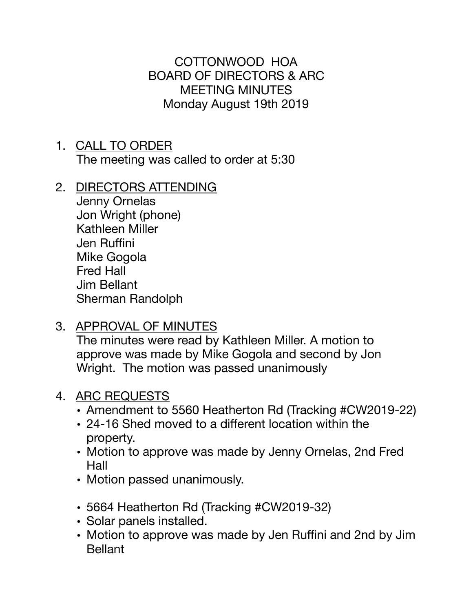COTTONWOOD HOA BOARD OF DIRECTORS & ARC MEETING MINUTES Monday August 19th 2019

- 1. CALL TO ORDER The meeting was called to order at 5:30
- 2. DIRECTORS ATTENDING

Jenny Ornelas Jon Wright (phone) Kathleen Miller Jen Ruffini Mike Gogola Fred Hall Jim Bellant Sherman Randolph

3. APPROVAL OF MINUTES

The minutes were read by Kathleen Miller. A motion to approve was made by Mike Gogola and second by Jon Wright. The motion was passed unanimously

## 4. ARC REQUESTS

- Amendment to 5560 Heatherton Rd (Tracking #CW2019-22)
- 24-16 Shed moved to a different location within the property.
- Motion to approve was made by Jenny Ornelas, 2nd Fred Hall
- Motion passed unanimously.
- 5664 Heatherton Rd (Tracking #CW2019-32)
- Solar panels installed.
- Motion to approve was made by Jen Ruffini and 2nd by Jim **Bellant**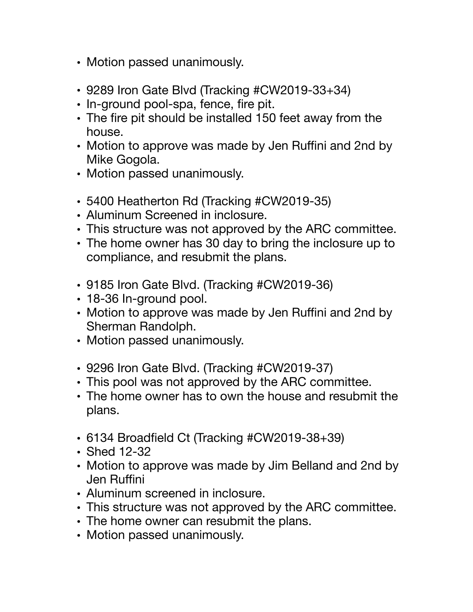- Motion passed unanimously.
- 9289 Iron Gate Blvd (Tracking #CW2019-33+34)
- In-ground pool-spa, fence, fire pit.
- The fire pit should be installed 150 feet away from the house.
- Motion to approve was made by Jen Ruffini and 2nd by Mike Gogola.
- Motion passed unanimously.
- 5400 Heatherton Rd (Tracking #CW2019-35)
- Aluminum Screened in inclosure.
- This structure was not approved by the ARC committee.
- The home owner has 30 day to bring the inclosure up to compliance, and resubmit the plans.
- 9185 Iron Gate Blvd. (Tracking #CW2019-36)
- 18-36 In-ground pool.
- Motion to approve was made by Jen Ruffini and 2nd by Sherman Randolph.
- Motion passed unanimously.
- 9296 Iron Gate Blvd. (Tracking #CW2019-37)
- This pool was not approved by the ARC committee.
- The home owner has to own the house and resubmit the plans.
- 6134 Broadfield Ct (Tracking #CW2019-38+39)
- Shed 12-32
- Motion to approve was made by Jim Belland and 2nd by Jen Ruffini
- Aluminum screened in inclosure.
- This structure was not approved by the ARC committee.
- The home owner can resubmit the plans.
- Motion passed unanimously.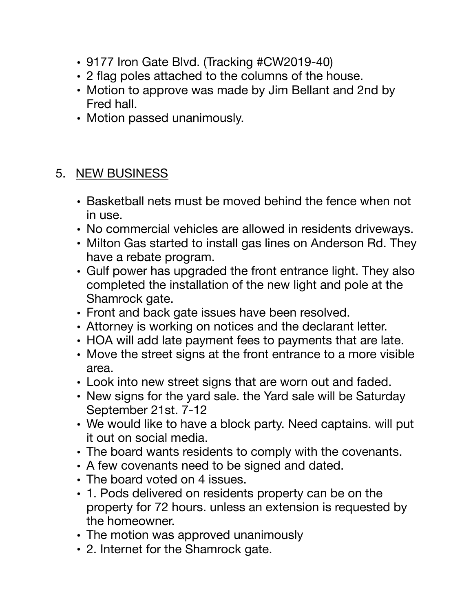- 9177 Iron Gate Blvd. (Tracking #CW2019-40)
- 2 flag poles attached to the columns of the house.
- Motion to approve was made by Jim Bellant and 2nd by Fred hall.
- Motion passed unanimously.

## 5. NEW BUSINESS

- Basketball nets must be moved behind the fence when not in use.
- No commercial vehicles are allowed in residents driveways.
- Milton Gas started to install gas lines on Anderson Rd. They have a rebate program.
- Gulf power has upgraded the front entrance light. They also completed the installation of the new light and pole at the Shamrock gate.
- Front and back gate issues have been resolved.
- Attorney is working on notices and the declarant letter.
- HOA will add late payment fees to payments that are late.
- Move the street signs at the front entrance to a more visible area.
- Look into new street signs that are worn out and faded.
- New signs for the yard sale. the Yard sale will be Saturday September 21st. 7-12
- We would like to have a block party. Need captains. will put it out on social media.
- The board wants residents to comply with the covenants.
- A few covenants need to be signed and dated.
- The board voted on 4 issues.
- 1. Pods delivered on residents property can be on the property for 72 hours. unless an extension is requested by the homeowner.
- The motion was approved unanimously
- 2. Internet for the Shamrock gate.